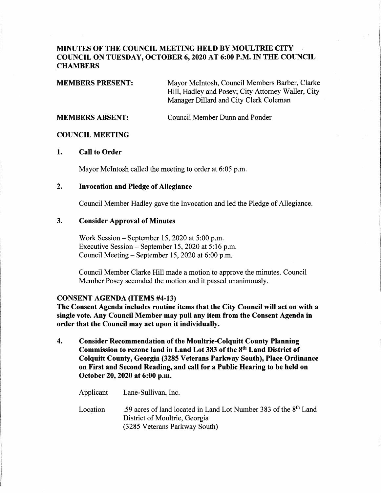# **MINUTES OF THE COUNCIL MEETING HELD BY MOULTRIE CITY COUNCIL ON TUESDAY, OCTOBER 6, 2020 AT 6:00 P.M. IN THE COUNCIL CHAMBERS**

| Mayor McIntosh, Council Members Barber, Clarke     |
|----------------------------------------------------|
| Hill, Hadley and Posey; City Attorney Waller, City |
| Manager Dillard and City Clerk Coleman             |
|                                                    |

**MEMBERS ABSENT:** Council Member Dunn and Ponder

## **COUNCIL MEETING**

## **1. Call to Order**

Mayor McIntosh called the meeting to order at 6:05 p.m.

# **2. Invocation and Pledge of Allegiance**

Council Member Hadley gave the Invocation and led the Pledge of Allegiance.

## **3. Consider Approval of Minutes**

Work Session- September 15, 2020 at 5:00 p.m. Executive Session - September 15, 2020 at 5: 16 p.m. Council Meeting- September 15, 2020 at 6:00 p.m.

Council Member Clarke Hill made a motion to approve the minutes. Council Member Posey seconded the motion and it passed unanimously.

## **CONSENT AGENDA (ITEMS #4-13)**

 $\label{eq:2.1} \frac{1}{2} \int_{\mathbb{R}^3} \frac{1}{2} \int_{\mathbb{R}^3} \frac{1}{2} \int_{\mathbb{R}^3} \frac{1}{2} \int_{\mathbb{R}^3} \frac{1}{2} \int_{\mathbb{R}^3} \frac{1}{2} \int_{\mathbb{R}^3} \frac{1}{2} \int_{\mathbb{R}^3} \frac{1}{2} \int_{\mathbb{R}^3} \frac{1}{2} \int_{\mathbb{R}^3} \frac{1}{2} \int_{\mathbb{R}^3} \frac{1}{2} \int_{\mathbb{R}^3} \frac$ 

**The Consent Agenda includes routine items that the City Council will act on with a single vote. Any Council Member may pull any item from the Consent Agenda in order that the Council may act upon it individually.** 

**4. Consider Recommendation of the Moultrie-Colquitt County Planning Commission to rezone land in Land Lot 383 of the 8th Land District of Colquitt County, Georgia (3285 Veterans Parkway South), Place Ordinance on First and Second Reading, and call for a Public Hearing to be held on October 20, 2020 at 6:00 p.m.** 

| Applicant | Lane-Sullivan, Inc.                                                                                                                            |
|-----------|------------------------------------------------------------------------------------------------------------------------------------------------|
| Location  | .59 acres of land located in Land Lot Number 383 of the 8 <sup>th</sup> Land<br>District of Moultrie, Georgia<br>(3285 Veterans Parkway South) |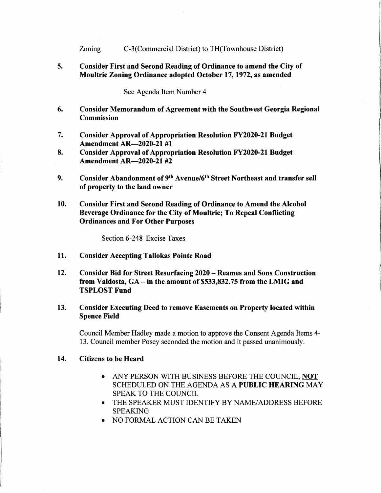Zoning C-3(Commercial District) to TH(Townhouse District)

5. Consider First and Second Reading of Ordinance to amend the City of Moultrie Zoning Ordinance adopted October 17, 1972, as amended

See Agenda Item Number 4

- 6. Consider Memorandum of Agreement with the Southwest Georgia Regional Commission
- 7. Consider Approval of Appropriation Resolution FY2020-21 Budget Amendment AR-2020-21 #1
- 8. Consider Approval of Appropriation Resolution FY2020-21 Budget Amendment AR-2020-21 #2
- **9. Consider Abandonment of 9th Avenue/6th Street Northeast and transfer sell of property to the land owner**
- **10. Consider First and Second Reading of Ordinance to Amend the Alcohol Beverage Ordinance for the City of Moultrie; To Repeal Conflicting Ordinances and For Other Purposes**

Section 6-248 Excise Taxes

- **11. Consider Accepting Tallokas Pointe Road**
- **12. Consider Bid for Street Resurfacing 2020 Reames and Sons Construction from Valdosta, GA- in the amount of \$533,832.75 from the LMIG and TSPLOST Fund**
- **13. Consider Executing Deed to remove Easements on Property located within Spence Field**

Council Member Hadley made a motion to approve the Consent Agenda Items 4- 13. Council member Posey seconded the motion and it passed unanimously.

#### **14. Citizens to be Heard**

- ANY PERSON WITH BUSINESS BEFORE THE COUNCIL, **NOT**  SCHEDULED ON THE AGENDA AS A **PUBLIC HEARING** MAY SPEAK TO THE COUNCIL
- THE SPEAKER MUST IDENTIFY BY NAME/ADDRESS BEFORE SPEAKING
- NO FORMAL ACTION CAN BE TAKEN